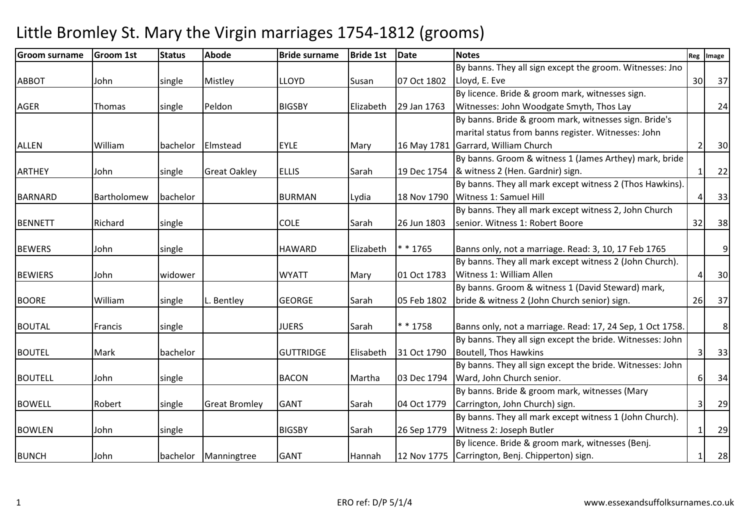#### Groom surnamee Groom 1st Status Abode 1995 Bride surname Bride 1st Date Notes Reg Image Reg Image ABBOT John single Mistley LLOYD Susan 07 Oct 1802By banns. They all sign except the groom. Witnesses: Jno Lloyd, E. Eve <sup>30</sup> <sup>37</sup>AGER Thomas single Peldon BIGSBY Elizabeth 29 Jan 1763 By licence. Bride & groom mark, witnesses sign. Witnesses: John Woodgate Smyth, Thos Layy 24 ALLEN William bachelor Elmstead EYLE Mary 16 May 1781Garrard, William ChurchBy banns. Bride & groom mark, witnesses sign. Bride's marital status from banns register. Witnesses: John h 2 30 ARTHEY John single Great Oakley ELLIS Sarah 19 Dec 1754By banns. Groom & witness 1 (James Arthey) mark, bride & witness 2 (Hen. Gardnir) sign.. 1 22 BARNARD Bartholomew bachelor | BURMAN Lydia | 18 Nov 1790 By banns. They all mark except witness 2 (Thos Hawkins). Witness 1: Samuel Hill 4 33BENNETT Richard single COLE Sarah 26 Jun 1803By banns. They all mark except witness 2, John Church senior. Witness 1: Robert Booree 32 38 BEWERS John single HAWARD Elizabeth \* \* 1765 $*$  \* 1765 **Banns only, not a marriage. Read: 3, 10, 17 Feb 1765** 9BEWIERS John |widower | |WYATT |Mary |01 Oct 1783 By banns. They all mark except witness 2 (John Church). Witness 1: William Allenn 4 30 BOORE William single L. Bentley GEORGE Sarah 05 Feb 1802By banns. Groom & witness 1 (David Steward) mark, bride & witness 2 (John Church senior) sign. 26 37BOUTAL Francis single JUERS Sarah \* \* 1758 $*$  \* 1758  $\blacksquare$  Banns only, not a marriage. Read: 17, 24 Sep, 1 Oct 1758. 8BOUTEL Mark bachelor GUTTRIDGE Elisabeth 31 Oct 1790By banns. They all sign except the bride. Witnesses: John Boutell, Thos Hawkins $\begin{array}{|c|c|c|c|c|}\n \hline\n \text{3} & \text{33} \\
 \hline\n \end{array}$ BOUTELL John Single | BACON Martha 03 Dec 1794 By banns. They all sign except the bride. Witnesses: John Ward, John Church senior. 6 34BOWELL Robert single Great Bromley GANT Sarah 04 Oct 1779By banns. Bride & groom mark, witnesses (Mary Carrington, John Church) sign. $\begin{array}{|c|c|c|c|c|c|}\n\hline\n3 & 29 \\
\hline\n\end{array}$ BOWLEN John single | BIGSBY Sarah 26 Sep 1779 By banns. They all mark except witness 1 (John Church). Witness 2: Joseph Butlerr 1 29 BUNCH John bachelor Manningtree GANT Hannah 12 Nov 1775By licence. Bride & groom mark, witnesses (Benj. Carrington, Benj. Chipperton) sign.1 28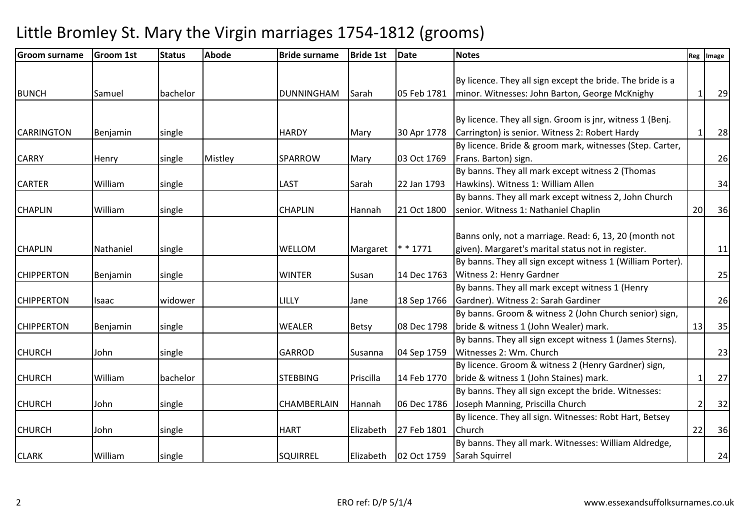| <b>Groom surname</b> | <b>Groom 1st</b> | <b>Status</b> | <b>Abode</b> | <b>Bride surname</b> | <b>Bride 1st</b> | <b>Date</b> | <b>Notes</b>                                               |                | Reg Image |
|----------------------|------------------|---------------|--------------|----------------------|------------------|-------------|------------------------------------------------------------|----------------|-----------|
|                      |                  |               |              |                      |                  |             |                                                            |                |           |
|                      |                  |               |              |                      |                  |             | By licence. They all sign except the bride. The bride is a |                |           |
| <b>BUNCH</b>         | Samuel           | bachelor      |              | <b>DUNNINGHAM</b>    | Sarah            | 05 Feb 1781 | minor. Witnesses: John Barton, George McKnighy             | 1              | 29        |
|                      |                  |               |              |                      |                  |             |                                                            |                |           |
|                      |                  |               |              |                      |                  |             | By licence. They all sign. Groom is jnr, witness 1 (Benj.  |                |           |
| <b>CARRINGTON</b>    | Benjamin         | single        |              | <b>HARDY</b>         | Mary             | 30 Apr 1778 | Carrington) is senior. Witness 2: Robert Hardy             | -1             | 28        |
|                      |                  |               |              |                      |                  |             | By licence. Bride & groom mark, witnesses (Step. Carter,   |                |           |
| <b>CARRY</b>         | Henry            | single        | Mistley      | <b>SPARROW</b>       | Mary             | 03 Oct 1769 | Frans. Barton) sign.                                       |                | 26        |
|                      |                  |               |              |                      |                  |             | By banns. They all mark except witness 2 (Thomas           |                |           |
| <b>CARTER</b>        | William          | single        |              | LAST                 | Sarah            | 22 Jan 1793 | Hawkins). Witness 1: William Allen                         |                | 34        |
|                      |                  |               |              |                      |                  |             | By banns. They all mark except witness 2, John Church      |                |           |
| <b>CHAPLIN</b>       | William          | single        |              | <b>CHAPLIN</b>       | Hannah           | 21 Oct 1800 | senior. Witness 1: Nathaniel Chaplin                       | 20             | 36        |
|                      |                  |               |              |                      |                  |             |                                                            |                |           |
|                      |                  |               |              |                      |                  |             | Banns only, not a marriage. Read: 6, 13, 20 (month not     |                |           |
| <b>CHAPLIN</b>       | Nathaniel        | single        |              | WELLOM               | Margaret         | $* * 1771$  | given). Margaret's marital status not in register.         |                | 11        |
|                      |                  |               |              |                      |                  |             | By banns. They all sign except witness 1 (William Porter). |                |           |
| <b>CHIPPERTON</b>    | Benjamin         | single        |              | <b>WINTER</b>        | Susan            | 14 Dec 1763 | Witness 2: Henry Gardner                                   |                | 25        |
|                      |                  |               |              |                      |                  |             | By banns. They all mark except witness 1 (Henry            |                |           |
| <b>CHIPPERTON</b>    | Isaac            | widower       |              | LILLY                | Jane             | 18 Sep 1766 | Gardner). Witness 2: Sarah Gardiner                        |                | 26        |
|                      |                  |               |              |                      |                  |             | By banns. Groom & witness 2 (John Church senior) sign,     |                |           |
| <b>CHIPPERTON</b>    | Benjamin         | single        |              | <b>WEALER</b>        | <b>Betsy</b>     | 08 Dec 1798 | bride & witness 1 (John Wealer) mark.                      | 13             | 35        |
|                      |                  |               |              |                      |                  |             | By banns. They all sign except witness 1 (James Sterns).   |                |           |
| <b>CHURCH</b>        | John             | single        |              | <b>GARROD</b>        | Susanna          | 04 Sep 1759 | Witnesses 2: Wm. Church                                    |                | 23        |
|                      |                  |               |              |                      |                  |             | By licence. Groom & witness 2 (Henry Gardner) sign,        |                |           |
| <b>CHURCH</b>        | William          | bachelor      |              | <b>STEBBING</b>      | Priscilla        | 14 Feb 1770 | bride & witness 1 (John Staines) mark.                     | $\mathbf{1}$   | 27        |
|                      |                  |               |              |                      |                  |             | By banns. They all sign except the bride. Witnesses:       |                |           |
| <b>CHURCH</b>        | John             | single        |              | CHAMBERLAIN          | Hannah           | 06 Dec 1786 | Joseph Manning, Priscilla Church                           | $\overline{2}$ | 32        |
|                      |                  |               |              |                      |                  |             | By licence. They all sign. Witnesses: Robt Hart, Betsey    |                |           |
| <b>CHURCH</b>        | John             | single        |              | <b>HART</b>          | Elizabeth        | 27 Feb 1801 | Church                                                     | 22             | 36        |
|                      |                  |               |              |                      |                  |             | By banns. They all mark. Witnesses: William Aldredge,      |                |           |
| <b>CLARK</b>         | William          | single        |              | <b>SQUIRREL</b>      | Elizabeth        | 02 Oct 1759 | Sarah Squirrel                                             |                | 24        |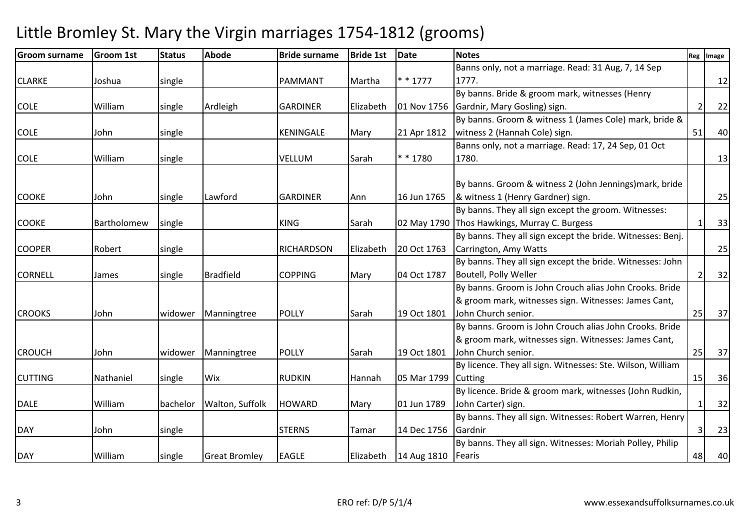#### Groom surnamee Groom 1st Status Abode 1995 Bride surname Bride 1st Date Notes Reg Image Reg Image CLARKE Joshua single PAMMANT Martha \* \* 1777Banns only, not a marriage. Read: 31 Aug, 7, 14 Sep 1777. $\blacksquare$ COLE William single Ardleigh GARDINER Elizabeth 01 Nov 1756By banns. Bride & groom mark, witnesses (Henry Gardnir, Mary Gosling) sign. $\begin{array}{|c|c|c|c|c|c|c|c|}\n\hline\n2 & 22 & & \end{array}$ COLE John single KENINGALE Mary 21 Apr 1812By banns. Groom & witness 1 (James Cole) mark, bride & witness 2 (Hannah Cole) sign.. [51] 40 COLE William single VELLUM Sarah \* \* 1780Banns only, not a marriage. Read: 17, 24 Sep, 01 Oct 1780. 13COOKE John single Lawford GARDINER Ann 16 Jun 1765By banns. Groom & witness 2 (John Jennings)mark, bride & witness 1 (Henry Gardner) sign. 25COOKE Bartholomew single I KING Sarah By banns. They all sign except the groom. Witnesses: 02 May 1790 Thos Hawkings, Murray C. Burgess s 1 33 COOPER Robert single T RICHARDSON Elizabeth 20 Oct 1763 By banns. They all sign except the bride. Witnesses: Benj. Carrington, Amy Wattss and  $\frac{1}{25}$ CORNELL James single Bradfield COPPING Mary 04 Oct 1787By banns. They all sign except the bride. Witnesses: John Boutell, Polly Wellerr 2 32 CROOKS John widower Manningtree POLLY Sarah 19 Oct 1801By banns. Groom is John Crouch alias John Crooks. Bride & groom mark, witnesses sign. Witnesses: James Cant, John Church senior.25 37 CROUCH John widower Manningtree POLLY Sarah 19 Oct 1801By banns. Groom is John Crouch alias John Crooks. Bride & groom mark, witnesses sign. Witnesses: James Cant, John Church senior.25 37 CUTTING Nathaniel single Wix RUDKIN Hannah 05 Mar 1799By licence. They all sign. Witnesses: Ste. Wilson, William **Cutting** g 15 36 DALE William bachelor Walton, Suffolk HOWARD Mary 01 Jun 1789By licence. Bride & groom mark, witnesses (John Rudkin, John Carter) sign.. 232 DAY 5 | Uohn single | STERNS Tamar | 14 Dec 1756 By banns. They all sign. Witnesses: Robert Warren, Henry Gardnirr 3 23 DAY William single Great Bromley EAGLE Elizabeth 14 Aug 1810By banns. They all sign. Witnesses: Moriah Polley, Philip **Fearis** s and the contract of the contract of the contract of the contract of the contract of the contract of the contract of the contract of the contract of the contract of the contract of the contract of the contract of the cont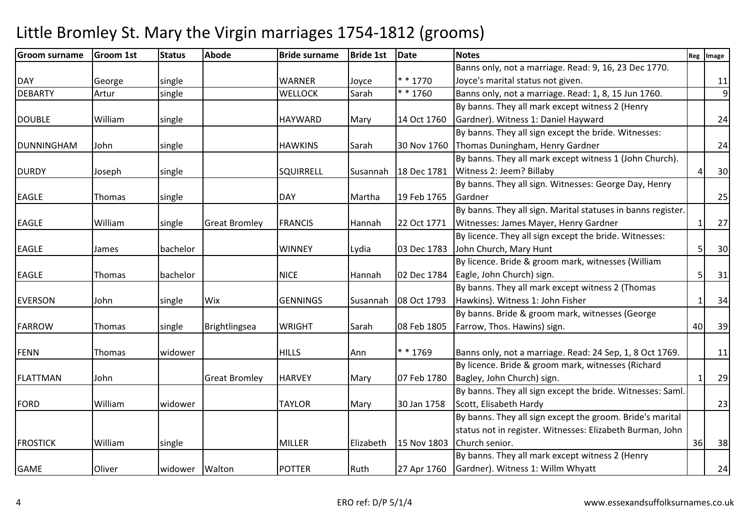#### Groom surnamee Groom 1st Status Abode 1995 Bride surname Bride 1st Date Notes Reg Image Reg Image DAY George single WARNER Joyce \* \* 1770\* \* 1760 Banns only, not a marriage. Read: 9, 16, 23 Dec 1770. Joyce's marital status not given.. 11 9DEBARTYArtur single **WELLOCK** Sarah  $\vert$ \* \* 1760 Banns only, not a marriage. Read: 1, 8, 15 Jun 1760. DOUBLE William single HAYWARD Mary 14 Oct 1760By banns. They all mark except witness 2 (Henry Gardner). Witness 1: Daniel Haywardd 24 DUNNINGHAM John single | HAWKINS Sarah 30 Nov 1760 By banns. They all sign except the bride. Witnesses: Thomas Duningham, Henry Gardnerr 24 DURDY Joseph single SQUIRRELL Susannah 18 Dec 1781By banns. They all mark except witness 1 (John Church). Witness 2: Jeem? Billabyy 4 30 EAGLE Thomas single DAY Martha 19 Feb 1765By banns. They all sign. Witnesses: George Day, Henry Gardner<u>r</u> 25 EAGLE William single Great Bromley FRANCIS Hannah 22 Oct 1771By banns. They all sign. Marital statuses in banns register. Witnesses: James Mayer, Henry Gardnerr 1 27 EAGLE James bachelor WINNEY Lydia 03 Dec 1783By licence. They all sign except the bride. Witnesses: John Church, Mary Huntt 5 30 EAGLE Thomas bachelor NICE Hannah 02 Dec 1784 By licence. Bride & groom mark, witnesses (William Eagle, John Church) sign.. [5] 31 EVERSON John single Wix GENNINGS Susannah 08 Oct 1793By banns. They all mark except witness 2 (Thomas Hawkins). Witness 1: John Fisherr 1 34 FARROW Thomas single Brightlingsea WRIGHT Sarah 08 Feb 1805By banns. Bride & groom mark, witnesses (George Farrow, Thos. Hawins) sign. 40 39FENN Thomas widower HILLS Ann \* \* 1769 $*$  \* 1769 **Banns only, not a marriage. Read: 24 Sep, 1, 8 Oct 1769.** | | 11 FLATTMAN John Great Bromley HARVEY Mary 07 Feb 1780 By licence. Bride & groom mark, witnesses (Richard Bagley, John Church) sign.. 1 29 FORD William widower TAYLOR Mary 30 Jan 1758By banns. They all sign except the bride. Witnesses: Saml. Scott, Elisabeth Hardyy 23 FROSTICK William single MILLER Elizabeth 15 Nov 1803By banns. They all sign except the groom. Bride's marital status not in register. Witnesses: Elizabeth Burman, John Church senior.. [36] 38 GAME Oliver widower Walton POTTER Ruth 27 Apr 1760By banns. They all mark except witness 2 (Henry Gardner). Witness 1: Willm Whyattt 24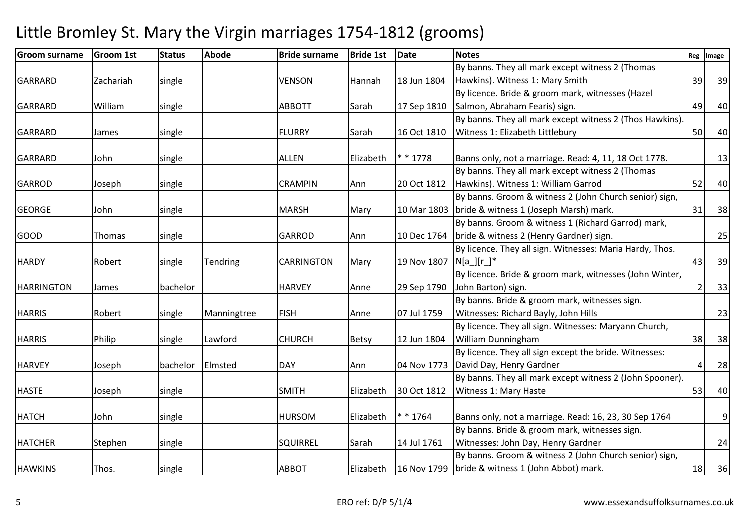| <b>Groom surname</b> | Groom 1st | <b>Status</b> | <b>Abode</b>    | <b>Bride surname</b> | <b>Bride 1st</b> | Date                     | <b>Notes</b>                                             |    | Reg Image |
|----------------------|-----------|---------------|-----------------|----------------------|------------------|--------------------------|----------------------------------------------------------|----|-----------|
|                      |           |               |                 |                      |                  |                          | By banns. They all mark except witness 2 (Thomas         |    |           |
| <b>GARRARD</b>       | Zachariah | single        |                 | <b>VENSON</b>        | Hannah           | 18 Jun 1804              | Hawkins). Witness 1: Mary Smith                          | 39 | 39        |
|                      |           |               |                 |                      |                  |                          | By licence. Bride & groom mark, witnesses (Hazel         |    |           |
| <b>GARRARD</b>       | William   | single        |                 | <b>ABBOTT</b>        | Sarah            | 17 Sep 1810              | Salmon, Abraham Fearis) sign.                            | 49 | 40        |
|                      |           |               |                 |                      |                  |                          | By banns. They all mark except witness 2 (Thos Hawkins). |    |           |
| <b>GARRARD</b>       | James     | single        |                 | <b>FLURRY</b>        | Sarah            | 16 Oct 1810              | Witness 1: Elizabeth Littlebury                          | 50 | 40        |
|                      |           |               |                 |                      |                  |                          |                                                          |    |           |
| <b>GARRARD</b>       | John      | single        |                 | <b>ALLEN</b>         | Elizabeth        | $* * 1778$               | Banns only, not a marriage. Read: 4, 11, 18 Oct 1778.    |    | 13        |
|                      |           |               |                 |                      |                  |                          | By banns. They all mark except witness 2 (Thomas         |    |           |
| <b>GARROD</b>        | Joseph    | single        |                 | <b>CRAMPIN</b>       | Ann              | 20 Oct 1812              | Hawkins). Witness 1: William Garrod                      | 52 | 40        |
|                      |           |               |                 |                      |                  |                          | By banns. Groom & witness 2 (John Church senior) sign,   |    |           |
| <b>GEORGE</b>        | John      | single        |                 | <b>MARSH</b>         | Mary             |                          | 10 Mar 1803   bride & witness 1 (Joseph Marsh) mark.     | 31 | 38        |
|                      |           |               |                 |                      |                  |                          | By banns. Groom & witness 1 (Richard Garrod) mark,       |    |           |
| <b>GOOD</b>          | Thomas    | single        |                 | <b>GARROD</b>        | Ann              | 10 Dec 1764              | bride & witness 2 (Henry Gardner) sign.                  |    | 25        |
|                      |           |               |                 |                      |                  |                          | By licence. They all sign. Witnesses: Maria Hardy, Thos. |    |           |
| <b>HARDY</b>         | Robert    | single        | <b>Tendring</b> | <b>CARRINGTON</b>    | Mary             | 19 Nov 1807   N[a_][r_]* |                                                          | 43 | 39        |
|                      |           |               |                 |                      |                  |                          | By licence. Bride & groom mark, witnesses (John Winter,  |    |           |
| <b>HARRINGTON</b>    | James     | bachelor      |                 | <b>HARVEY</b>        | Anne             | 29 Sep 1790              | John Barton) sign.                                       | 2  | 33        |
|                      |           |               |                 |                      |                  |                          | By banns. Bride & groom mark, witnesses sign.            |    |           |
| <b>HARRIS</b>        | Robert    | single        | Manningtree     | <b>FISH</b>          | Anne             | 07 Jul 1759              | Witnesses: Richard Bayly, John Hills                     |    | 23        |
|                      |           |               |                 |                      |                  |                          | By licence. They all sign. Witnesses: Maryann Church,    |    |           |
| <b>HARRIS</b>        | Philip    | single        | Lawford         | <b>CHURCH</b>        | <b>Betsy</b>     | 12 Jun 1804              | <b>William Dunningham</b>                                | 38 | 38        |
|                      |           |               |                 |                      |                  |                          | By licence. They all sign except the bride. Witnesses:   |    |           |
| <b>HARVEY</b>        | Joseph    | bachelor      | Elmsted         | <b>DAY</b>           | Ann              |                          | 04 Nov 1773 David Day, Henry Gardner                     | Δ  | 28        |
|                      |           |               |                 |                      |                  |                          | By banns. They all mark except witness 2 (John Spooner). |    |           |
| <b>HASTE</b>         | Joseph    | single        |                 | <b>SMITH</b>         | Elizabeth        | 30 Oct 1812              | Witness 1: Mary Haste                                    | 53 | 40        |
|                      |           |               |                 |                      |                  |                          |                                                          |    |           |
| <b>HATCH</b>         | John      | single        |                 | <b>HURSOM</b>        | Elizabeth        | $* * 1764$               | Banns only, not a marriage. Read: 16, 23, 30 Sep 1764    |    | 9         |
|                      |           |               |                 |                      |                  |                          | By banns. Bride & groom mark, witnesses sign.            |    |           |
| <b>HATCHER</b>       | Stephen   | single        |                 | <b>SQUIRREL</b>      | Sarah            | 14 Jul 1761              | Witnesses: John Day, Henry Gardner                       |    | 24        |
|                      |           |               |                 |                      |                  |                          | By banns. Groom & witness 2 (John Church senior) sign,   |    |           |
| <b>HAWKINS</b>       | Thos.     | single        |                 | <b>ABBOT</b>         | Elizabeth        |                          | 16 Nov 1799 bride & witness 1 (John Abbot) mark.         | 18 | 36        |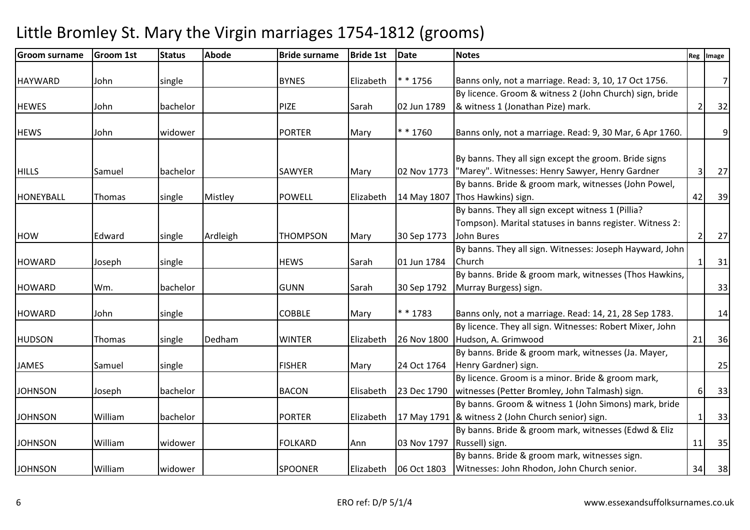#### Groom surnamee Groom 1st Status Abode 1995 Bride surname Bride 1st Date Notes Reg Image Reg Image HAYWARD John single BYNES Elizabeth \* \* 1756 $*$  \* 1756 | Banns only, not a marriage. Read: 3, 10, 17 Oct 1756. 7HEWES John bachelor PIZE Sarah 02 Jun 1789By licence. Groom & witness 2 (John Church) sign, bride & witness 1 (Jonathan Pize) mark.. 2 32 HEWS John widower PORTER Mary \* \* 1760 $*$  \* 1760 **Banns only, not a marriage. Read: 9, 30 Mar, 6 Apr 1760.** 9HILLS Samuel bachelor SAWYER Mary 02 Nov 1773 By banns. They all sign except the groom. Bride signs "Marey". Witnesses: Henry Sawyer, Henry Gardner <sup>3</sup> <sup>27</sup>HONEYBALL Thomas single Mistley POWELL Elizabeth 14 May 1807By banns. Bride & groom mark, witnesses (John Powel, Thos Hawkins) sign.. [42] 39 HOW Edward single Ardleigh THOMPSON Mary 30 Sep 1773By banns. They all sign except witness 1 (Pillia? Tompson). Marital statuses in banns register. Witness 2: John Buress 2 27 HOWARD Joseph single HEWS Sarah 01 Jun 1784By banns. They all sign. Witnesses: Joseph Hayward, John Churchh 1 31 HOWARD Wm. bachelor GUNN Sarah 30 Sep 1792By banns. Bride & groom mark, witnesses (Thos Hawkins, Murray Burgess) sign.. 33 HOWARD John single COBBLE Mary \* \* 1783\*  $*$  1783 Banns only, not a marriage. Read: 14, 21, 28 Sep 1783.  $\begin{array}{|c|c|c|c|c|c|} \hline \end{array}$  14 HUDSON Thomas single Dedham WINTER Elizabeth 26 Nov 1800By licence. They all sign. Witnesses: Robert Mixer, John Hudson, A. Grimwoodd 21 36 JAMES Samuel single FISHER Mary 24 Oct 1764By banns. Bride & groom mark, witnesses (Ja. Mayer, Henry Gardner) sign.. 25 JOHNSON Joseph bachelor BACON Elisabeth 23 Dec 1790By licence. Groom is a minor. Bride & groom mark, witnesses (Petter Bromley, John Talmash) sign. 6 33JOHNSON William bachelor PORTER Elizabeth 17 May 1791& witness 2 (John Church senior) sign. 1 33By banns. Groom & witness 1 (John Simons) mark, bride JOHNSON William widower FOLKARD Ann 03 Nov 1797By banns. Bride & groom mark, witnesses (Edwd & Eliz Russell) sign.. [11] 35 JOHNSON William Widower SPOONER Elizabeth 06 Oct 1803 By banns. Bride & groom mark, witnesses sign. Witnesses: John Rhodon, John Church senior.34 38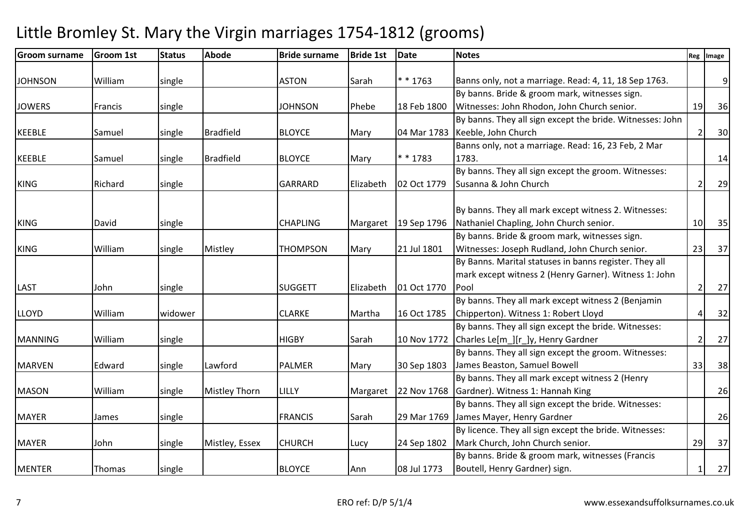#### Groom surnamee Groom 1st Status Abode 1995 Bride surname Bride 1st Date Notes Reg Image Reg Image JOHNSON | William | single | | ASTON | Sarah | \* \* 1763  $*$  \* 1763 **Banns only, not a marriage. Read: 4, 11, 18 Sep 1763.** 9JOWERS Francis single JOHNSON Phebe 18 Feb 1800By banns. Bride & groom mark, witnesses sign. Witnesses: John Rhodon, John Church senior. 19 36KEEBLE Samuel single Bradfield BLOYCE Mary 04 Mar 1783By banns. They all sign except the bride. Witnesses: John Keeble, John Churchh 2 30 KEEBLE Samuel single Bradfield BLOYCE Mary \* \* 1783Banns only, not a marriage. Read: 16, 23 Feb, 2 Mar 1783. $\begin{array}{|c|c|c|c|c|c|c|c|c|} \hline \quad & 14 & \ \hline \end{array}$ KING Richard single GARRARD Elizabeth 02 Oct 1779By banns. They all sign except the groom. Witnesses: Susanna & John Church <sup>2</sup> <sup>29</sup>KING David single CHAPLING Margaret 19 Sep 1796By banns. They all mark except witness 2. Witnesses: Nathaniel Chapling, John Church senior.. 10 35 KING William single Mistley THOMPSON Mary 21 Jul 1801By banns. Bride & groom mark, witnesses sign. Witnesses: Joseph Rudland, John Church senior. $23$  37 LAST John single SUGGETT Elizabeth 01 Oct 1770By Banns. Marital statuses in banns register. They all mark except witness 2 (Henry Garner). Witness 1: John Pool $\begin{array}{|c|c|c|c|c|}\n\hline\n2 & 27 \\
\hline\n2 & 27\n\end{array}$ LLOYD William widower CLARKE Martha 16 Oct 1785By banns. They all mark except witness 2 (Benjamin Chipperton). Witness 1: Robert Lloydd 32 MANNING William single HIGBY Sarah 10 Nov 1772By banns. They all sign except the bride. Witnesses: Charles Le[m\_][r\_]y, Henry Gardnerr 2 27 MARVEN Edward single Lawford PALMER Mary 30 Sep 1803By banns. They all sign except the groom. Witnesses: James Beaston, Samuel Bowell 33 38MASON | William | single | Mistley Thorn | LILLY | Margaret | 22 Nov 1768 By banns. They all mark except witness 2 (Henry Gardner). Witness 1: Hannah Kingg 26 MAYER James single FRANCIS Sarah 29 Mar 1769James Mayer, Henry GardnerBy banns. They all sign except the bride. Witnesses: r 26 MAYER John Single Mistley, Essex CHURCH Lucy 24 Sep 1802 By licence. They all sign except the bride. Witnesses: Mark Church, John Church senior. 29 37MENTER Thomas single BLOYCE Ann 08 Jul 1773By banns. Bride & groom mark, witnesses (Francis Boutell, Henry Gardner) sign.. 1 27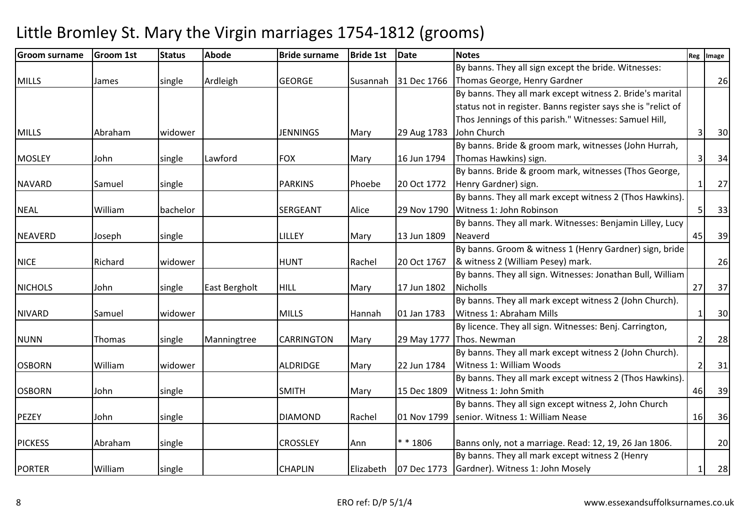| <b>Groom surname</b> | Groom 1st | <b>Status</b> | <b>Abode</b>  | <b>Bride surname</b> | <b>Bride 1st</b> | Date        | <b>Notes</b>                                                  |                | Reg   Image |
|----------------------|-----------|---------------|---------------|----------------------|------------------|-------------|---------------------------------------------------------------|----------------|-------------|
|                      |           |               |               |                      |                  |             | By banns. They all sign except the bride. Witnesses:          |                |             |
| <b>MILLS</b>         | James     | single        | Ardleigh      | <b>GEORGE</b>        | Susannah         | 31 Dec 1766 | Thomas George, Henry Gardner                                  |                | 26          |
|                      |           |               |               |                      |                  |             | By banns. They all mark except witness 2. Bride's marital     |                |             |
|                      |           |               |               |                      |                  |             | status not in register. Banns register says she is "relict of |                |             |
|                      |           |               |               |                      |                  |             | Thos Jennings of this parish." Witnesses: Samuel Hill,        |                |             |
| <b>MILLS</b>         | Abraham   | widower       |               | <b>JENNINGS</b>      | Mary             | 29 Aug 1783 | John Church                                                   | 3              | 30          |
|                      |           |               |               |                      |                  |             | By banns. Bride & groom mark, witnesses (John Hurrah,         |                |             |
| <b>MOSLEY</b>        | John      | single        | Lawford       | <b>FOX</b>           | Mary             | 16 Jun 1794 | Thomas Hawkins) sign.                                         | 3              | 34          |
|                      |           |               |               |                      |                  |             | By banns. Bride & groom mark, witnesses (Thos George,         |                |             |
| <b>NAVARD</b>        | Samuel    | single        |               | <b>PARKINS</b>       | Phoebe           | 20 Oct 1772 | Henry Gardner) sign.                                          | $\overline{1}$ | 27          |
|                      |           |               |               |                      |                  |             | By banns. They all mark except witness 2 (Thos Hawkins).      |                |             |
| <b>NEAL</b>          | William   | bachelor      |               | <b>SERGEANT</b>      | Alice            | 29 Nov 1790 | Witness 1: John Robinson                                      | 5              | 33          |
|                      |           |               |               |                      |                  |             | By banns. They all mark. Witnesses: Benjamin Lilley, Lucy     |                |             |
| <b>NEAVERD</b>       | Joseph    | single        |               | LILLEY               | Mary             | 13 Jun 1809 | Neaverd                                                       | 45             | 39          |
|                      |           |               |               |                      |                  |             | By banns. Groom & witness 1 (Henry Gardner) sign, bride       |                |             |
| <b>NICE</b>          | Richard   | widower       |               | <b>HUNT</b>          | Rachel           | 20 Oct 1767 | & witness 2 (William Pesey) mark.                             |                | 26          |
|                      |           |               |               |                      |                  |             | By banns. They all sign. Witnesses: Jonathan Bull, William    |                |             |
| <b>NICHOLS</b>       | John      | single        | East Bergholt | <b>HILL</b>          | Mary             | 17 Jun 1802 | <b>Nicholls</b>                                               | 27             | 37          |
|                      |           |               |               |                      |                  |             | By banns. They all mark except witness 2 (John Church).       |                |             |
| <b>NIVARD</b>        | Samuel    | widower       |               | <b>MILLS</b>         | Hannah           | 01 Jan 1783 | Witness 1: Abraham Mills                                      | -1             | 30          |
|                      |           |               |               |                      |                  |             | By licence. They all sign. Witnesses: Benj. Carrington,       |                |             |
| <b>NUNN</b>          | Thomas    | single        | Manningtree   | <b>CARRINGTON</b>    | Mary             | 29 May 1777 | Thos. Newman                                                  | $\overline{2}$ | 28          |
|                      |           |               |               |                      |                  |             | By banns. They all mark except witness 2 (John Church).       |                |             |
| <b>OSBORN</b>        | William   | widower       |               | <b>ALDRIDGE</b>      | Mary             | 22 Jun 1784 | Witness 1: William Woods                                      | $\overline{2}$ | 31          |
|                      |           |               |               |                      |                  |             | By banns. They all mark except witness 2 (Thos Hawkins).      |                |             |
| <b>OSBORN</b>        | John      | single        |               | <b>SMITH</b>         | Mary             | 15 Dec 1809 | Witness 1: John Smith                                         | 46             | 39          |
|                      |           |               |               |                      |                  |             | By banns. They all sign except witness 2, John Church         |                |             |
| <b>PEZEY</b>         | John      | single        |               | <b>DIAMOND</b>       | Rachel           | 01 Nov 1799 | senior. Witness 1: William Nease                              | 16             | 36          |
|                      |           |               |               |                      |                  |             |                                                               |                |             |
| <b>PICKESS</b>       | Abraham   | single        |               | <b>CROSSLEY</b>      | Ann              | ** 1806     | Banns only, not a marriage. Read: 12, 19, 26 Jan 1806.        |                | 20          |
|                      |           |               |               |                      |                  |             | By banns. They all mark except witness 2 (Henry               |                |             |
| <b>PORTER</b>        | William   | single        |               | <b>CHAPLIN</b>       | Elizabeth        |             | 07 Dec 1773 Gardner). Witness 1: John Mosely                  | $\mathbf{1}$   | 28          |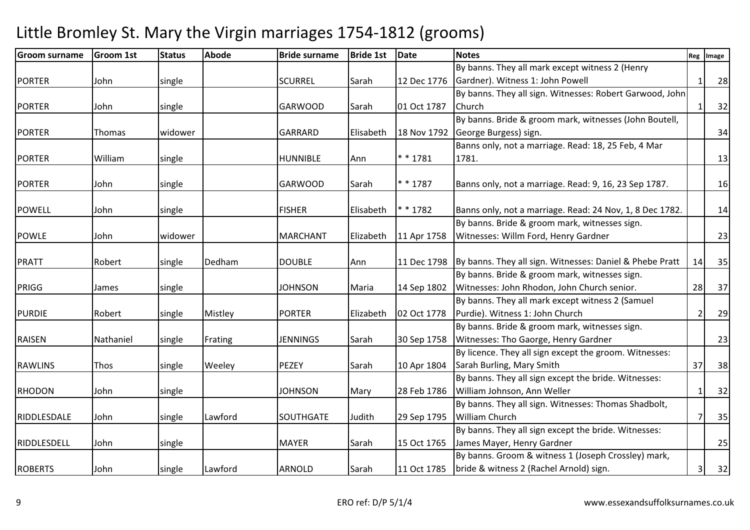| <b>Groom surname</b> | <b>Groom 1st</b> | <b>Status</b> | <b>Abode</b> | <b>Bride surname</b> | <b>Bride 1st</b> | <b>Date</b> | <b>Notes</b>                                                           |    | Reg Image |
|----------------------|------------------|---------------|--------------|----------------------|------------------|-------------|------------------------------------------------------------------------|----|-----------|
|                      |                  |               |              |                      |                  |             | By banns. They all mark except witness 2 (Henry                        |    |           |
| <b>PORTER</b>        | John             | single        |              | <b>SCURREL</b>       | Sarah            | 12 Dec 1776 | Gardner). Witness 1: John Powell                                       |    | 28        |
|                      |                  |               |              |                      |                  |             | By banns. They all sign. Witnesses: Robert Garwood, John               |    |           |
| <b>PORTER</b>        | John             | single        |              | <b>GARWOOD</b>       | Sarah            | 01 Oct 1787 | Church                                                                 |    | 32        |
|                      |                  |               |              |                      |                  |             | By banns. Bride & groom mark, witnesses (John Boutell,                 |    |           |
| <b>PORTER</b>        | Thomas           | widower       |              | <b>GARRARD</b>       | Elisabeth        |             | 18 Nov 1792 George Burgess) sign.                                      |    | 34        |
|                      |                  |               |              |                      |                  |             | Banns only, not a marriage. Read: 18, 25 Feb, 4 Mar                    |    |           |
| <b>PORTER</b>        | William          | single        |              | <b>HUNNIBLE</b>      | Ann              | ** 1781     | 1781.                                                                  |    | 13        |
|                      |                  |               |              |                      |                  |             |                                                                        |    |           |
| <b>PORTER</b>        | John             | single        |              | <b>GARWOOD</b>       | Sarah            | $* * 1787$  | Banns only, not a marriage. Read: 9, 16, 23 Sep 1787.                  |    | 16        |
|                      |                  |               |              |                      |                  |             |                                                                        |    |           |
| <b>POWELL</b>        | John             | single        |              | <b>FISHER</b>        | Elisabeth        | * * 1782    | Banns only, not a marriage. Read: 24 Nov, 1, 8 Dec 1782.               |    | 14        |
|                      |                  |               |              |                      |                  |             | By banns. Bride & groom mark, witnesses sign.                          |    |           |
| <b>POWLE</b>         | John             | widower       |              | <b>MARCHANT</b>      | Elizabeth        | 11 Apr 1758 | Witnesses: Willm Ford, Henry Gardner                                   |    | 23        |
|                      |                  |               |              |                      |                  |             |                                                                        |    |           |
| <b>PRATT</b>         | Robert           | single        | Dedham       | <b>DOUBLE</b>        | Ann              |             | 11 Dec 1798   By banns. They all sign. Witnesses: Daniel & Phebe Pratt | 14 | 35        |
|                      |                  |               |              |                      |                  |             | By banns. Bride & groom mark, witnesses sign.                          |    |           |
| PRIGG                | James            | single        |              | <b>JOHNSON</b>       | Maria            | 14 Sep 1802 | Witnesses: John Rhodon, John Church senior.                            | 28 | 37        |
|                      |                  |               |              |                      |                  |             | By banns. They all mark except witness 2 (Samuel                       |    |           |
| <b>PURDIE</b>        | Robert           | single        | Mistley      | <b>PORTER</b>        | Elizabeth        | 02 Oct 1778 | Purdie). Witness 1: John Church                                        |    | 29        |
|                      |                  |               |              |                      |                  |             | By banns. Bride & groom mark, witnesses sign.                          |    |           |
| <b>RAISEN</b>        | Nathaniel        | single        | Frating      | <b>JENNINGS</b>      | Sarah            | 30 Sep 1758 | Witnesses: Tho Gaorge, Henry Gardner                                   |    | 23        |
|                      |                  |               |              |                      |                  |             | By licence. They all sign except the groom. Witnesses:                 |    |           |
| <b>RAWLINS</b>       | Thos             | single        | Weeley       | <b>PEZEY</b>         | Sarah            | 10 Apr 1804 | Sarah Burling, Mary Smith                                              | 37 | 38        |
|                      |                  |               |              |                      |                  |             | By banns. They all sign except the bride. Witnesses:                   |    |           |
| <b>RHODON</b>        | John             | single        |              | <b>JOHNSON</b>       | Mary             | 28 Feb 1786 | William Johnson, Ann Weller                                            |    | 32        |
|                      |                  |               |              |                      |                  |             | By banns. They all sign. Witnesses: Thomas Shadbolt,                   |    |           |
| RIDDLESDALE          | John             | single        | Lawford      | <b>SOUTHGATE</b>     | Judith           | 29 Sep 1795 | <b>William Church</b>                                                  |    | 35        |
|                      |                  |               |              |                      |                  |             | By banns. They all sign except the bride. Witnesses:                   |    |           |
| RIDDLESDELL          | John             | single        |              | <b>MAYER</b>         | Sarah            | 15 Oct 1765 | James Mayer, Henry Gardner                                             |    | 25        |
|                      |                  |               |              |                      |                  |             | By banns. Groom & witness 1 (Joseph Crossley) mark,                    |    |           |
| <b>ROBERTS</b>       | John             | single        | Lawford      | <b>ARNOLD</b>        | Sarah            |             | 11 Oct 1785   bride & witness 2 (Rachel Arnold) sign.                  | 3  | 32        |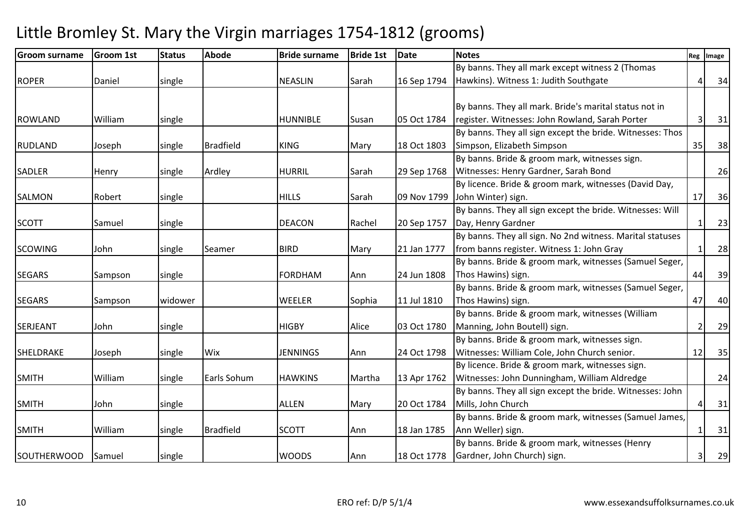| Groom surname      | <b>Groom 1st</b> | <b>Status</b> | <b>Abode</b>     | <b>Bride surname</b> | <b>Bride 1st</b> | <b>Date</b> | <b>Notes</b>                                              | Reg            | Image  |
|--------------------|------------------|---------------|------------------|----------------------|------------------|-------------|-----------------------------------------------------------|----------------|--------|
|                    |                  |               |                  |                      |                  |             | By banns. They all mark except witness 2 (Thomas          |                |        |
| <b>ROPER</b>       | Daniel           | single        |                  | <b>NEASLIN</b>       | Sarah            | 16 Sep 1794 | Hawkins). Witness 1: Judith Southgate                     | 4              | 34     |
|                    |                  |               |                  |                      |                  |             |                                                           |                |        |
|                    |                  |               |                  |                      |                  |             | By banns. They all mark. Bride's marital status not in    |                |        |
| <b>ROWLAND</b>     | William          | single        |                  | <b>HUNNIBLE</b>      | Susan            | 05 Oct 1784 | register. Witnesses: John Rowland, Sarah Porter           | 3              | 31     |
|                    |                  |               |                  |                      |                  |             | By banns. They all sign except the bride. Witnesses: Thos |                |        |
| <b>RUDLAND</b>     | Joseph           | single        | <b>Bradfield</b> | <b>KING</b>          | Mary             | 18 Oct 1803 | Simpson, Elizabeth Simpson                                | 35             | 38     |
|                    |                  |               |                  |                      |                  |             | By banns. Bride & groom mark, witnesses sign.             |                |        |
| <b>SADLER</b>      | Henry            | single        | Ardley           | <b>HURRIL</b>        | Sarah            | 29 Sep 1768 | Witnesses: Henry Gardner, Sarah Bond                      |                | 26     |
|                    |                  |               |                  |                      |                  |             | By licence. Bride & groom mark, witnesses (David Day,     |                |        |
| <b>SALMON</b>      | Robert           | single        |                  | <b>HILLS</b>         | Sarah            | 09 Nov 1799 | John Winter) sign.                                        | 17             | 36     |
|                    |                  |               |                  |                      |                  |             | By banns. They all sign except the bride. Witnesses: Will |                |        |
| <b>SCOTT</b>       | Samuel           | single        |                  | <b>DEACON</b>        | Rachel           | 20 Sep 1757 | Day, Henry Gardner                                        | $\mathbf{1}$   | 23     |
|                    |                  |               |                  |                      |                  |             | By banns. They all sign. No 2nd witness. Marital statuses |                |        |
| <b>SCOWING</b>     | John             | single        | Seamer           | <b>BIRD</b>          | Mary             | 21 Jan 1777 | from banns register. Witness 1: John Gray                 | 1              | 28     |
|                    |                  |               |                  |                      |                  |             | By banns. Bride & groom mark, witnesses (Samuel Seger,    |                |        |
| <b>SEGARS</b>      | Sampson          | single        |                  | <b>FORDHAM</b>       | Ann              | 24 Jun 1808 | Thos Hawins) sign.                                        | 44             | 39     |
|                    |                  |               |                  |                      |                  |             | By banns. Bride & groom mark, witnesses (Samuel Seger,    |                |        |
| <b>SEGARS</b>      | Sampson          | widower       |                  | WEELER               | Sophia           | 11 Jul 1810 | Thos Hawins) sign.                                        | 47             | 40     |
|                    |                  |               |                  |                      |                  |             | By banns. Bride & groom mark, witnesses (William          |                |        |
| SERJEANT           | John             | single        |                  | <b>HIGBY</b>         | Alice            | 03 Oct 1780 | Manning, John Boutell) sign.                              | $\overline{2}$ | 29     |
|                    |                  |               |                  |                      |                  |             | By banns. Bride & groom mark, witnesses sign.             |                |        |
| <b>SHELDRAKE</b>   | Joseph           | single        | Wix              | <b>JENNINGS</b>      | Ann              | 24 Oct 1798 | Witnesses: William Cole, John Church senior.              | 12             | 35     |
|                    |                  |               |                  |                      |                  |             | By licence. Bride & groom mark, witnesses sign.           |                |        |
| <b>SMITH</b>       | William          | single        | Earls Sohum      | <b>HAWKINS</b>       | Martha           | 13 Apr 1762 | Witnesses: John Dunningham, William Aldredge              |                | 24     |
|                    |                  |               |                  |                      |                  |             | By banns. They all sign except the bride. Witnesses: John |                |        |
| <b>SMITH</b>       | John             | single        |                  | <b>ALLEN</b>         | Mary             | 20 Oct 1784 | Mills, John Church                                        |                | 31     |
|                    |                  |               |                  |                      |                  |             | By banns. Bride & groom mark, witnesses (Samuel James,    |                |        |
| <b>SMITH</b>       | William          | single        | <b>Bradfield</b> | <b>SCOTT</b>         | Ann              | 18 Jan 1785 | Ann Weller) sign.                                         | 1              | $31\,$ |
|                    |                  |               |                  |                      |                  |             | By banns. Bride & groom mark, witnesses (Henry            |                |        |
| <b>SOUTHERWOOD</b> | Samuel           | single        |                  | <b>WOODS</b>         | Ann              |             | 18 Oct 1778 Gardner, John Church) sign.                   | 3              | 29     |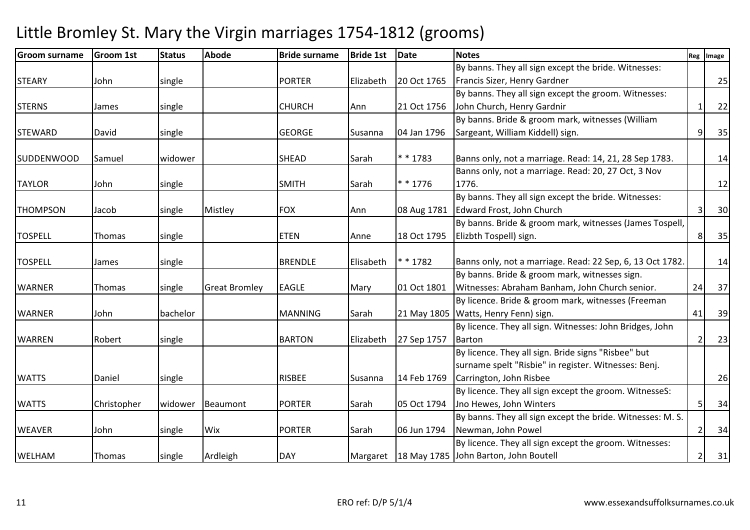| <b>Groom surname</b> | <b>Groom 1st</b> | <b>Status</b> | <b>Abode</b>         | <b>Bride surname</b> | <b>Bride 1st</b> | <b>Date</b> | <b>Notes</b>                                               |    | Reg   Image |
|----------------------|------------------|---------------|----------------------|----------------------|------------------|-------------|------------------------------------------------------------|----|-------------|
|                      |                  |               |                      |                      |                  |             | By banns. They all sign except the bride. Witnesses:       |    |             |
| <b>STEARY</b>        | John             | single        |                      | <b>PORTER</b>        | Elizabeth        | 20 Oct 1765 | Francis Sizer, Henry Gardner                               |    | 25          |
|                      |                  |               |                      |                      |                  |             | By banns. They all sign except the groom. Witnesses:       |    |             |
| <b>STERNS</b>        | James            | single        |                      | <b>CHURCH</b>        | Ann              | 21 Oct 1756 | John Church, Henry Gardnir                                 |    | 22          |
|                      |                  |               |                      |                      |                  |             | By banns. Bride & groom mark, witnesses (William           |    |             |
| <b>STEWARD</b>       | David            | single        |                      | <b>GEORGE</b>        | Susanna          | 04 Jan 1796 | Sargeant, William Kiddell) sign.                           |    | 35          |
| <b>SUDDENWOOD</b>    | Samuel           | widower       |                      | SHEAD                | Sarah            | $* * 1783$  | Banns only, not a marriage. Read: 14, 21, 28 Sep 1783.     |    | 14          |
|                      |                  |               |                      |                      |                  |             | Banns only, not a marriage. Read: 20, 27 Oct, 3 Nov        |    |             |
| <b>TAYLOR</b>        | John             | single        |                      | <b>SMITH</b>         | Sarah            | $* * 1776$  | 1776.                                                      |    | 12          |
|                      |                  |               |                      |                      |                  |             | By banns. They all sign except the bride. Witnesses:       |    |             |
| <b>THOMPSON</b>      | Jacob            | single        | Mistley              | <b>FOX</b>           | Ann              |             | 08 Aug 1781   Edward Frost, John Church                    | 3  | 30          |
|                      |                  |               |                      |                      |                  |             | By banns. Bride & groom mark, witnesses (James Tospell,    |    |             |
| <b>TOSPELL</b>       | Thomas           | single        |                      | <b>ETEN</b>          | Anne             | 18 Oct 1795 | Elizbth Tospell) sign.                                     | 8  | 35          |
|                      |                  |               |                      |                      |                  |             |                                                            |    |             |
| <b>TOSPELL</b>       | James            | single        |                      | <b>BRENDLE</b>       | Elisabeth        | * * 1782    | Banns only, not a marriage. Read: 22 Sep, 6, 13 Oct 1782.  |    | 14          |
|                      |                  |               |                      |                      |                  |             | By banns. Bride & groom mark, witnesses sign.              |    |             |
| <b>WARNER</b>        | Thomas           | single        | <b>Great Bromley</b> | <b>EAGLE</b>         | Mary             | 01 Oct 1801 | Witnesses: Abraham Banham, John Church senior.             | 24 | 37          |
|                      |                  |               |                      |                      |                  |             | By licence. Bride & groom mark, witnesses (Freeman         |    |             |
| <b>WARNER</b>        | John             | bachelor      |                      | <b>MANNING</b>       | Sarah            |             | 21 May 1805   Watts, Henry Fenn) sign.                     | 41 | 39          |
|                      |                  |               |                      |                      |                  |             | By licence. They all sign. Witnesses: John Bridges, John   |    |             |
| <b>WARREN</b>        | Robert           | single        |                      | <b>BARTON</b>        | Elizabeth        | 27 Sep 1757 | Barton                                                     |    | 23          |
|                      |                  |               |                      |                      |                  |             | By licence. They all sign. Bride signs "Risbee" but        |    |             |
|                      |                  |               |                      |                      |                  |             | surname spelt "Risbie" in register. Witnesses: Benj.       |    |             |
| <b>WATTS</b>         | Daniel           | single        |                      | <b>RISBEE</b>        | Susanna          | 14 Feb 1769 | Carrington, John Risbee                                    |    | 26          |
|                      |                  |               |                      |                      |                  |             | By licence. They all sign except the groom. WitnesseS:     |    |             |
| <b>WATTS</b>         | Christopher      | widower       | Beaumont             | <b>PORTER</b>        | Sarah            | 05 Oct 1794 | Jno Hewes, John Winters                                    | 5  | 34          |
|                      |                  |               |                      |                      |                  |             | By banns. They all sign except the bride. Witnesses: M. S. |    |             |
| <b>WEAVER</b>        | John             | single        | Wix                  | <b>PORTER</b>        | Sarah            | 06 Jun 1794 | Newman, John Powel                                         |    | 34          |
|                      |                  |               |                      |                      |                  |             | By licence. They all sign except the groom. Witnesses:     |    |             |
| <b>WELHAM</b>        | Thomas           | single        | Ardleigh             | <b>DAY</b>           |                  |             | Margaret   18 May 1785   John Barton, John Boutell         |    | 31          |